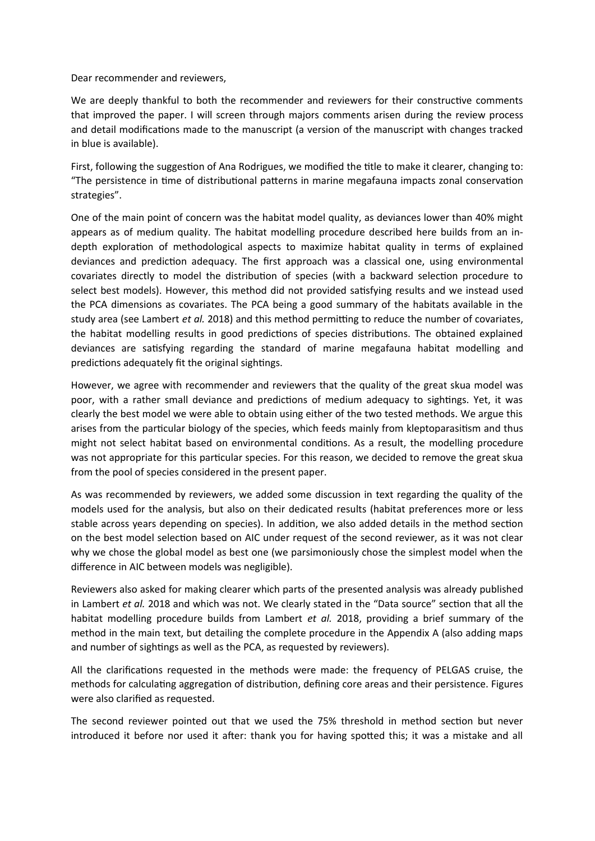Dear recommender and reviewers,

We are deeply thankful to both the recommender and reviewers for their constructive comments that improved the paper. I will screen through majors comments arisen during the review process and detail modifications made to the manuscript (a version of the manuscript with changes tracked in blue is available).

First, following the suggestion of Ana Rodrigues, we modified the title to make it clearer, changing to: "The persistence in time of distributional patterns in marine megafauna impacts zonal conservation strategies".

One of the main point of concern was the habitat model quality, as deviances lower than 40% might appears as of medium quality. The habitat modelling procedure described here builds from an indepth exploration of methodological aspects to maximize habitat quality in terms of explained deviances and prediction adequacy. The first approach was a classical one, using environmental covariates directly to model the distribution of species (with a backward selection procedure to select best models). However, this method did not provided satisfying results and we instead used the PCA dimensions as covariates. The PCA being a good summary of the habitats available in the study area (see Lambert *et al.* 2018) and this method permitting to reduce the number of covariates, the habitat modelling results in good predictions of species distributions. The obtained explained deviances are satisfying regarding the standard of marine megafauna habitat modelling and predictions adequately fit the original sightings.

However, we agree with recommender and reviewers that the quality of the great skua model was poor, with a rather small deviance and predictions of medium adequacy to sightings. Yet, it was clearly the best model we were able to obtain using either of the two tested methods. We argue this arises from the particular biology of the species, which feeds mainly from kleptoparasitism and thus might not select habitat based on environmental conditions. As a result, the modelling procedure was not appropriate for this particular species. For this reason, we decided to remove the great skua from the pool of species considered in the present paper.

As was recommended by reviewers, we added some discussion in text regarding the quality of the models used for the analysis, but also on their dedicated results (habitat preferences more or less stable across years depending on species). In addition, we also added details in the method section on the best model selection based on AIC under request of the second reviewer, as it was not clear why we chose the global model as best one (we parsimoniously chose the simplest model when the difference in AIC between models was negligible).

Reviewers also asked for making clearer which parts of the presented analysis was already published in Lambert *et al.* 2018 and which was not. We clearly stated in the "Data source" section that all the habitat modelling procedure builds from Lambert *et al.* 2018, providing a brief summary of the method in the main text, but detailing the complete procedure in the Appendix A (also adding maps and number of sightings as well as the PCA, as requested by reviewers).

All the clarifications requested in the methods were made: the frequency of PELGAS cruise, the methods for calculating aggregation of distribution, defining core areas and their persistence. Figures were also clarified as requested.

The second reviewer pointed out that we used the 75% threshold in method section but never introduced it before nor used it after: thank you for having spotted this; it was a mistake and all